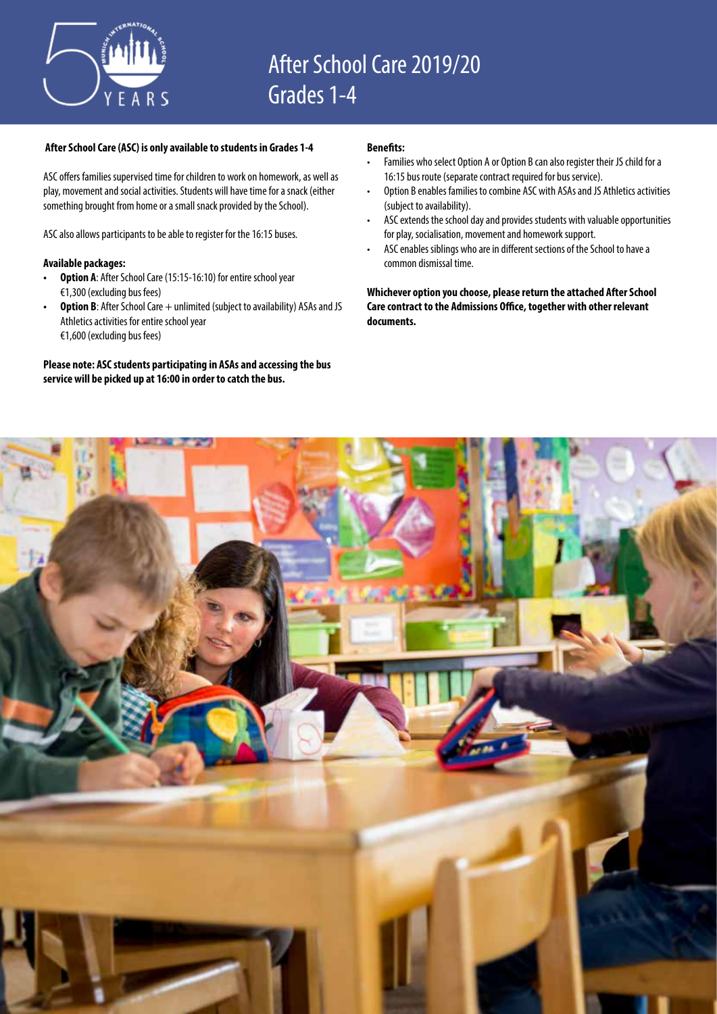

# **After School Care (ASC) is only available to students in Grades 1-4**

ASC offers families supervised time for children to work on homework, as well as play, movement and social activities. Students will have time for a snack (either something brought from home or a small snack provided by the School).

ASC also allows participants to be able to register for the 16:15 buses.

# **Available packages:**

- **• Option A**: After School Care (15:15-16:10) for entire school year €1,300 (excluding bus fees)
- Option B: After School Care + unlimited (subject to availability) ASAs and JS Athletics activities for entire school year €1,600 (excluding bus fees)

# **Please note: ASC students participating in ASAs and accessing the bus service will be picked up at 16:00 in order to catch the bus.**

### **Benefits:**

- Families who select Option A or Option B can also register their JS child for a 16:15 bus route (separate contract required for bus service).
- Option B enables families to combine ASC with ASAs and JS Athletics activities (subject to availability).
- ASC extends the school day and provides students with valuable opportunities for play, socialisation, movement and homework support.
- ASC enables siblings who are in different sections of the School to have a common dismissal time.

**Whichever option you choose, please return the attached After School Care contract to the Admissions Office, together with other relevant documents.**

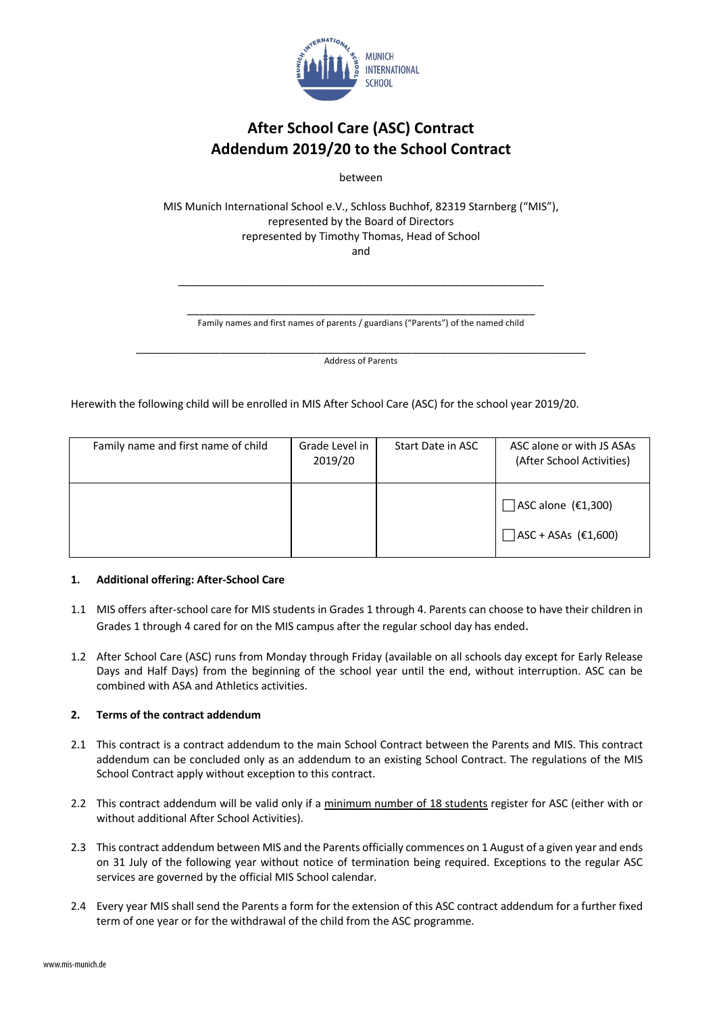

# **After School Care (ASC) Contract Addendum 2019/20 to the School Contract**

between

MIS Munich International School e.V., Schloss Buchhof, 82319 Starnberg ("MIS"), represented by the Board of Directors represented by Timothy Thomas, Head of School and

\_\_\_\_\_\_\_\_\_\_\_\_\_\_\_\_\_\_\_\_\_\_\_\_\_\_\_\_\_\_\_\_\_\_\_\_\_\_\_\_\_\_\_\_\_\_\_\_\_\_\_\_\_\_\_\_\_\_ Family names and first names of parents / guardians ("Parents") of the named child

\_\_\_\_\_\_\_\_\_\_\_\_\_\_\_\_\_\_\_\_\_\_\_\_\_\_\_\_\_\_\_\_\_\_\_\_\_\_\_\_\_\_\_\_\_\_\_\_\_\_\_\_\_\_\_\_\_\_\_\_\_

\_\_\_\_\_\_\_\_\_\_\_\_\_\_\_\_\_\_\_\_\_\_\_\_\_\_\_\_\_\_\_\_\_\_\_\_\_\_\_\_\_\_\_\_\_\_\_\_\_\_\_\_\_\_\_\_\_\_\_\_\_\_\_\_\_\_\_\_\_\_\_\_\_\_\_ Address of Parents

Herewith the following child will be enrolled in MIS After School Care (ASC) for the school year 2019/20.

| Family name and first name of child | Grade Level in<br>2019/20 | Start Date in ASC | ASC alone or with JS ASAs<br>(After School Activities)  |
|-------------------------------------|---------------------------|-------------------|---------------------------------------------------------|
|                                     |                           |                   | $\Box$ ASC alone (€1,300)<br>$\Box$ ASC + ASAs (€1,600) |

# **1. Additional offering: After-School Care**

- 1.1 MIS offers after-school care for MIS students in Grades 1 through 4. Parents can choose to have their children in Grades 1 through 4 cared for on the MIS campus after the regular school day has ended.
- 1.2 After School Care (ASC) runs from Monday through Friday (available on all schools day except for Early Release Days and Half Days) from the beginning of the school year until the end, without interruption. ASC can be combined with ASA and Athletics activities.

# **2. Terms of the contract addendum**

- 2.1 This contract is a contract addendum to the main School Contract between the Parents and MIS. This contract addendum can be concluded only as an addendum to an existing School Contract. The regulations of the MIS School Contract apply without exception to this contract.
- 2.2 This contract addendum will be valid only if a minimum number of 18 students register for ASC (either with or without additional After School Activities).
- 2.3 This contract addendum between MIS and the Parents officially commences on 1 August of a given year and ends on 31 July of the following year without notice of termination being required. Exceptions to the regular ASC services are governed by the official MIS School calendar.
- 2.4 Every year MIS shall send the Parents a form for the extension of this ASC contract addendum for a further fixed term of one year or for the withdrawal of the child from the ASC programme.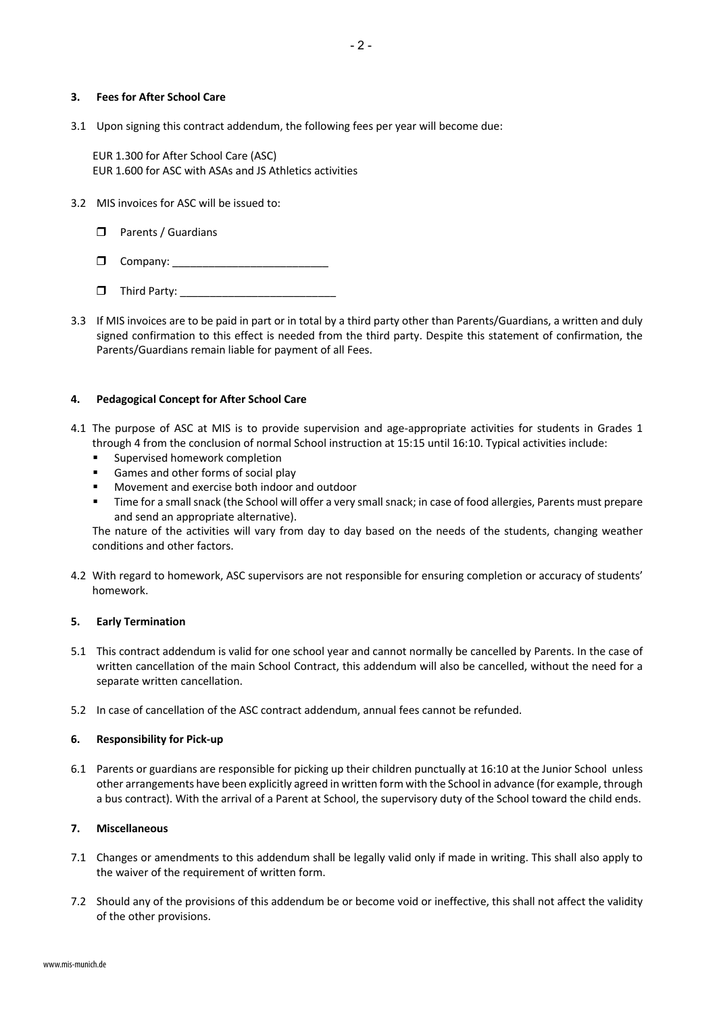#### **3. Fees for After School Care**

3.1 Upon signing this contract addendum, the following fees per year will become due:

 EUR 1.300 for After School Care (ASC) EUR 1.600 for ASC with ASAs and JS Athletics activities

- 3.2 MIS invoices for ASC will be issued to:
	- $\Box$  Parents / Guardians
	- r Company: \_\_\_\_\_\_\_\_\_\_\_\_\_\_\_\_\_\_\_\_\_\_\_\_\_\_
	- r Third Party: \_\_\_\_\_\_\_\_\_\_\_\_\_\_\_\_\_\_\_\_\_\_\_\_\_\_
- 3.3 If MIS invoices are to be paid in part or in total by a third party other than Parents/Guardians, a written and duly signed confirmation to this effect is needed from the third party. Despite this statement of confirmation, the Parents/Guardians remain liable for payment of all Fees.

#### **4. Pedagogical Concept for After School Care**

- 4.1 The purpose of ASC at MIS is to provide supervision and age-appropriate activities for students in Grades 1 through 4 from the conclusion of normal School instruction at 15:15 until 16:10. Typical activities include:
	- § Supervised homework completion
	- Games and other forms of social play
	- § Movement and exercise both indoor and outdoor
	- § Time for a small snack (the School will offer a very small snack; in case of food allergies, Parents must prepare and send an appropriate alternative).

The nature of the activities will vary from day to day based on the needs of the students, changing weather conditions and other factors.

4.2 With regard to homework, ASC supervisors are not responsible for ensuring completion or accuracy of students' homework.

#### **5. Early Termination**

- 5.1 This contract addendum is valid for one school year and cannot normally be cancelled by Parents. In the case of written cancellation of the main School Contract, this addendum will also be cancelled, without the need for a separate written cancellation.
- 5.2 In case of cancellation of the ASC contract addendum, annual fees cannot be refunded.

#### **6. Responsibility for Pick-up**

6.1 Parents or guardians are responsible for picking up their children punctually at 16:10 at the Junior School unless other arrangements have been explicitly agreed in written form with the School in advance (for example, through a bus contract). With the arrival of a Parent at School, the supervisory duty of the School toward the child ends.

#### **7. Miscellaneous**

- 7.1 Changes or amendments to this addendum shall be legally valid only if made in writing. This shall also apply to the waiver of the requirement of written form.
- 7.2 Should any of the provisions of this addendum be or become void or ineffective, this shall not affect the validity of the other provisions.